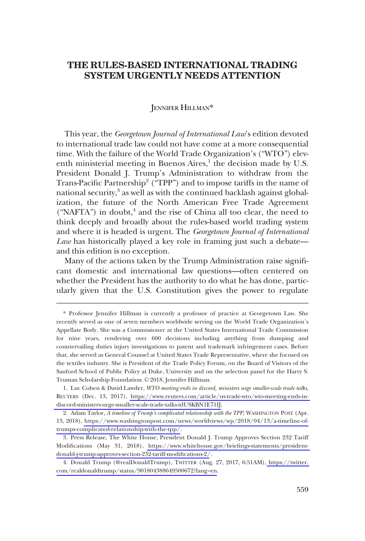# **THE RULES-BASED INTERNATIONAL TRADING SYSTEM URGENTLY NEEDS ATTENTION**

## JENNIFER HILLMAN\*

This year, the *Georgetown Journal of International Law*'s edition devoted to international trade law could not have come at a more consequential time. With the failure of the World Trade Organization's ("WTO") eleventh ministerial meeting in Buenos Aires,<sup>1</sup> the decision made by U.S. President Donald J. Trump's Administration to withdraw from the Trans-Pacific Partnership<sup>2</sup> ("TPP") and to impose tariffs in the name of national security,<sup>3</sup> as well as with the continued backlash against globalization, the future of the North American Free Trade Agreement ("NAFTA") in doubt,<sup>4</sup> and the rise of China all too clear, the need to think deeply and broadly about the rules-based world trading system and where it is headed is urgent. The *Georgetown Journal of International Law* has historically played a key role in framing just such a debate and this edition is no exception.

Many of the actions taken by the Trump Administration raise significant domestic and international law questions—often centered on whether the President has the authority to do what he has done, particularly given that the U.S. Constitution gives the power to regulate

<sup>\*</sup> Professor Jennifer Hillman is currently a professor of practice at Georgetown Law. She recently served as one of seven members worldwide serving on the World Trade Organization's Appellate Body. She was a Commissioner at the United States International Trade Commission for nine years, rendering over 600 decisions including anything from dumping and countervailing duties injury investigations to patent and trademark infringement cases. Before that, she served as General Counsel at United States Trade Representative, where she focused on the textiles industry. She is President of the Trade Policy Forum, on the Board of Visitors of the Sanford School of Public Policy at Duke, University and on the selection panel for the Harry S. Truman Scholarship Foundation. © 2018, Jennifer Hillman.

Luc Cohen & David Lawder, *WTO meeting ends in discord, ministers urge smaller-scale trade talks*, 1. REUTERS (Dec. 13, 2017), [https://www.reuters.com/article/us-trade-wto/wto-meeting-ends-in](https://www.reuters.com/article/us-trade-wto/wto-meeting-ends-in-discord-ministers-urge-smaller-scale-trade-talks-idUSKBN1E71IJ)[discord-ministers-urge-smaller-scale-trade-talks-idUSKBN1E71IJ](https://www.reuters.com/article/us-trade-wto/wto-meeting-ends-in-discord-ministers-urge-smaller-scale-trade-talks-idUSKBN1E71IJ).

<sup>2.</sup> Adam Taylor, *A timeline of Trump's complicated relationship with the TPP*, WASHINGTON POST (Apr. 13, 2018), [https://www.washingtonpost.com/news/worldviews/wp/2018/04/13/a-timeline-of](https://www.washingtonpost.com/news/worldviews/wp/2018/04/13/a-timeline-of-trumps-complicated-relationship-with-the-tpp/)[trumps-complicated-relationship-with-the-tpp/](https://www.washingtonpost.com/news/worldviews/wp/2018/04/13/a-timeline-of-trumps-complicated-relationship-with-the-tpp/).

<sup>3.</sup> Press Release, The White House, President Donald J. Trump Approves Section 232 Tariff Modifications (May 31, 2018), [https://www.whitehouse.gov/briefings-statements/president](https://www.whitehouse.gov/briefings-statements/president-donald-j-trump-approves-section-232-tariff-modifications-2/)[donald-j-trump-approves-section-232-tariff-modifications-2/](https://www.whitehouse.gov/briefings-statements/president-donald-j-trump-approves-section-232-tariff-modifications-2/).

<sup>4.</sup> Donald Trump (@realDonaldTrump), TWITTER (Aug. 27, 2017, 6:51AM), https://twitter. [com/realdonaldtrump/status/901804388649500672?lang=en](https://twitter.com/realdonaldtrump/status/901804388649500672?lang=en).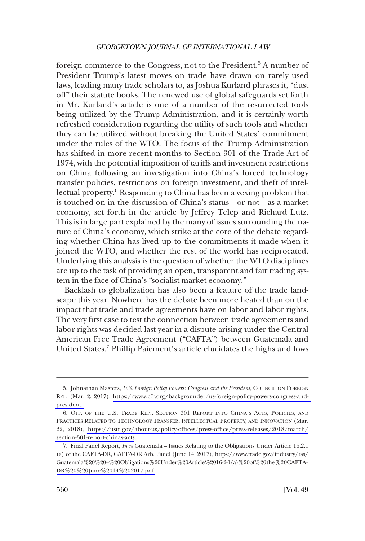#### *GEORGETOWN JOURNAL OF INTERNATIONAL LAW*

foreign commerce to the Congress, not to the President.<sup>5</sup> A number of President Trump's latest moves on trade have drawn on rarely used laws, leading many trade scholars to, as Joshua Kurland phrases it, "dust off" their statute books. The renewed use of global safeguards set forth in Mr. Kurland's article is one of a number of the resurrected tools being utilized by the Trump Administration, and it is certainly worth refreshed consideration regarding the utility of such tools and whether they can be utilized without breaking the United States' commitment under the rules of the WTO. The focus of the Trump Administration has shifted in more recent months to Section 301 of the Trade Act of 1974, with the potential imposition of tariffs and investment restrictions on China following an investigation into China's forced technology transfer policies, restrictions on foreign investment, and theft of intellectual property.<sup>6</sup> Responding to China has been a vexing problem that is touched on in the discussion of China's status—or not—as a market economy, set forth in the article by Jeffrey Telep and Richard Lutz. This is in large part explained by the many of issues surrounding the nature of China's economy, which strike at the core of the debate regarding whether China has lived up to the commitments it made when it joined the WTO, and whether the rest of the world has reciprocated. Underlying this analysis is the question of whether the WTO disciplines are up to the task of providing an open, transparent and fair trading system in the face of China's "socialist market economy."

Backlash to globalization has also been a feature of the trade landscape this year. Nowhere has the debate been more heated than on the impact that trade and trade agreements have on labor and labor rights. The very first case to test the connection between trade agreements and labor rights was decided last year in a dispute arising under the Central American Free Trade Agreement ("CAFTA") between Guatemala and United States.7 Phillip Paiement's article elucidates the highs and lows

<sup>5.</sup> Johnathan Masters, *U.S. Foreign Policy Powers: Congress and the President*, COUNCIL ON FOREIGN REL. (Mar. 2, 2017), [https://www.cfr.org/backgrounder/us-foreign-policy-powers-congress-and](https://www.cfr.org/backgrounder/us-foreign-policy-powers-congress-and-president)[president.](https://www.cfr.org/backgrounder/us-foreign-policy-powers-congress-and-president) 

<sup>6.</sup> OFF. OF THE U.S. TRADE REP., SECTION 301 REPORT INTO CHINA'S ACTS, POLICIES, AND PRACTICES RELATED TO TECHNOLOGY TRANSFER, INTELLECTUAL PROPERTY, AND INNOVATION (Mar. 22, 2018), [https://ustr.gov/about-us/policy-offices/press-office/press-releases/2018/march/](https://ustr.gov/about-us/policy-offices/press-office/press-releases/2018/march/section-301-report-chinas-acts) [section-301-report-chinas-acts](https://ustr.gov/about-us/policy-offices/press-office/press-releases/2018/march/section-301-report-chinas-acts).

Final Panel Report, *In re* Guatemala – Issues Relating to the Obligations Under Article 16.2.1 7. (a) of the CAFTA-DR, CAFTA-DR Arb. Panel (June 14, 2017), [https://www.trade.gov/industry/tas/](https://www.trade.gov/industry/tas/Guatemala%20%20%E2%80%93%20Obligations%20Under%20Article%2016-2-1(a)%20of%20the%20CAFTA-DR%20%20June%2014%202017.pdf) [Guatemala%20%20–%20Obligations%20Under%20Article%2016-2-1\(a\)%20of%20the%20CAFTA-](https://www.trade.gov/industry/tas/Guatemala%20%20%E2%80%93%20Obligations%20Under%20Article%2016-2-1(a)%20of%20the%20CAFTA-DR%20%20June%2014%202017.pdf)[DR%20%20June%2014%202017.pdf.](https://www.trade.gov/industry/tas/Guatemala%20%20%E2%80%93%20Obligations%20Under%20Article%2016-2-1(a)%20of%20the%20CAFTA-DR%20%20June%2014%202017.pdf)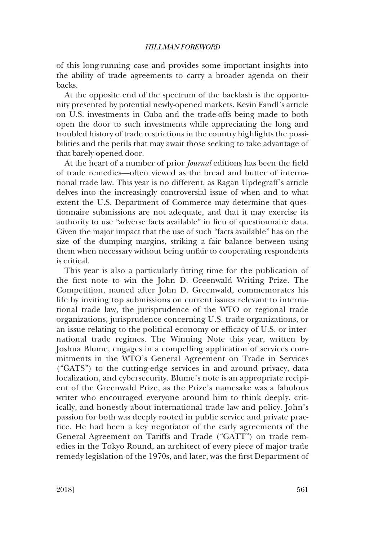#### *HILLMAN FOREWORD*

of this long-running case and provides some important insights into the ability of trade agreements to carry a broader agenda on their backs.

At the opposite end of the spectrum of the backlash is the opportunity presented by potential newly-opened markets. Kevin Fandl's article on U.S. investments in Cuba and the trade-offs being made to both open the door to such investments while appreciating the long and troubled history of trade restrictions in the country highlights the possibilities and the perils that may await those seeking to take advantage of that barely-opened door.

At the heart of a number of prior *Journal* editions has been the field of trade remedies—often viewed as the bread and butter of international trade law. This year is no different, as Ragan Updegraff's article delves into the increasingly controversial issue of when and to what extent the U.S. Department of Commerce may determine that questionnaire submissions are not adequate, and that it may exercise its authority to use "adverse facts available" in lieu of questionnaire data. Given the major impact that the use of such "facts available" has on the size of the dumping margins, striking a fair balance between using them when necessary without being unfair to cooperating respondents is critical.

This year is also a particularly fitting time for the publication of the first note to win the John D. Greenwald Writing Prize. The Competition, named after John D. Greenwald, commemorates his life by inviting top submissions on current issues relevant to international trade law, the jurisprudence of the WTO or regional trade organizations, jurisprudence concerning U.S. trade organizations, or an issue relating to the political economy or efficacy of U.S. or international trade regimes. The Winning Note this year, written by Joshua Blume, engages in a compelling application of services commitments in the WTO's General Agreement on Trade in Services ("GATS") to the cutting-edge services in and around privacy, data localization, and cybersecurity. Blume's note is an appropriate recipient of the Greenwald Prize, as the Prize's namesake was a fabulous writer who encouraged everyone around him to think deeply, critically, and honestly about international trade law and policy. John's passion for both was deeply rooted in public service and private practice. He had been a key negotiator of the early agreements of the General Agreement on Tariffs and Trade ("GATT") on trade remedies in the Tokyo Round, an architect of every piece of major trade remedy legislation of the 1970s, and later, was the first Department of